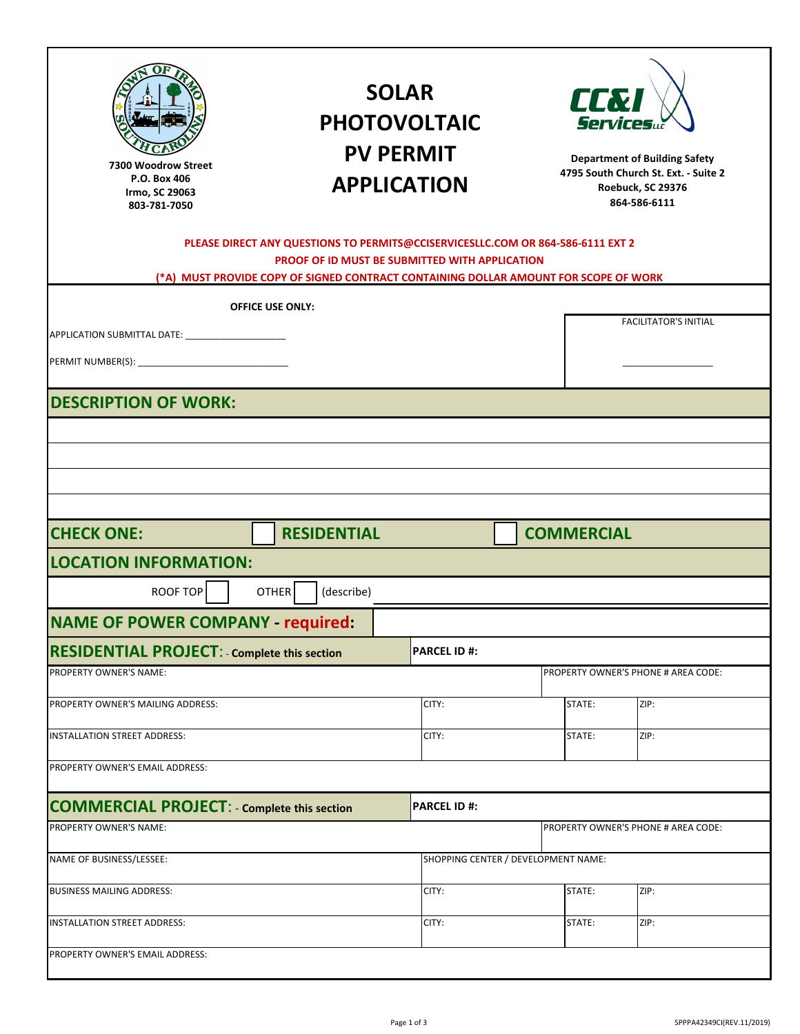| t∂y§E<br>tþoµ≸∪õ<br>ðð                                                                                                                                                                                                           |                                          | <b>SOLAR</b><br><b>PHOTOVOLTAIC</b><br><b>PV PERMIT</b><br><b>APPLICATION</b> |  | <b>CC&amp;I</b>   | <b>Services</b><br><b>Department of Building Safety</b><br>4795 South Church St. Ext. - Suite 2<br>Roebuck, SC 29376<br>864-586-6111 |  |  |
|----------------------------------------------------------------------------------------------------------------------------------------------------------------------------------------------------------------------------------|------------------------------------------|-------------------------------------------------------------------------------|--|-------------------|--------------------------------------------------------------------------------------------------------------------------------------|--|--|
| PLEASE DIRECT ANY QUESTIONS TO PERMITS@CCISERVICESLLC.COM OR 864-586-6111 EXT 2<br><b>PROOF OF ID MUST BE SUBMITTED WITH APPLICATION</b><br>(*A) MUST PROVIDE COPY OF SIGNED CONTRACT CONTAINING DOLLAR AMOUNT FOR SCOPE OF WORK |                                          |                                                                               |  |                   |                                                                                                                                      |  |  |
|                                                                                                                                                                                                                                  | <b>OFFICE USE ONLY:</b>                  |                                                                               |  |                   |                                                                                                                                      |  |  |
|                                                                                                                                                                                                                                  |                                          |                                                                               |  |                   | <b>FACILITATOR'S INITIAL</b>                                                                                                         |  |  |
|                                                                                                                                                                                                                                  |                                          |                                                                               |  |                   |                                                                                                                                      |  |  |
| <b>DESCRIPTION OF WORK:</b>                                                                                                                                                                                                      |                                          |                                                                               |  |                   |                                                                                                                                      |  |  |
|                                                                                                                                                                                                                                  |                                          |                                                                               |  |                   |                                                                                                                                      |  |  |
|                                                                                                                                                                                                                                  |                                          |                                                                               |  |                   |                                                                                                                                      |  |  |
|                                                                                                                                                                                                                                  |                                          |                                                                               |  |                   |                                                                                                                                      |  |  |
|                                                                                                                                                                                                                                  |                                          |                                                                               |  |                   |                                                                                                                                      |  |  |
| <b>CHECK ONE:</b>                                                                                                                                                                                                                | <b>RESIDENTIAL</b>                       |                                                                               |  | <b>COMMERCIAL</b> |                                                                                                                                      |  |  |
| <b>LOCATION INFORMATION:</b>                                                                                                                                                                                                     |                                          |                                                                               |  |                   |                                                                                                                                      |  |  |
| <b>ROOF TOP</b><br><b>OTHER</b><br>(describe)                                                                                                                                                                                    |                                          |                                                                               |  |                   |                                                                                                                                      |  |  |
|                                                                                                                                                                                                                                  | <b>NAME OF POWER COMPANY - required:</b> |                                                                               |  |                   |                                                                                                                                      |  |  |
| <b>RESIDENTIAL PROJECT:</b> Complete this section<br><b>PARCEL ID #:</b>                                                                                                                                                         |                                          |                                                                               |  |                   |                                                                                                                                      |  |  |
| PROPERTY OWNER'S NAME:<br>PROPERTY OWNER'S PHONE # AREA CODE:                                                                                                                                                                    |                                          |                                                                               |  |                   |                                                                                                                                      |  |  |
| PROPERTY OWNER'S MAILING ADDRESS:                                                                                                                                                                                                |                                          | CITY:                                                                         |  | STATE:            | ZIP:                                                                                                                                 |  |  |
| INSTALLATION STREET ADDRESS:                                                                                                                                                                                                     |                                          | CITY:                                                                         |  | STATE:            | ZIP:                                                                                                                                 |  |  |
| PROPERTY OWNER'S EMAIL ADDRESS:                                                                                                                                                                                                  |                                          |                                                                               |  |                   |                                                                                                                                      |  |  |
| <b>COMMERCIAL PROJECT: - Complete this section</b>                                                                                                                                                                               |                                          | <b>PARCEL ID#:</b>                                                            |  |                   |                                                                                                                                      |  |  |
| PROPERTY OWNER'S NAME:                                                                                                                                                                                                           |                                          |                                                                               |  |                   | PROPERTY OWNER'S PHONE # AREA CODE:                                                                                                  |  |  |
| NAME OF BUSINESS/LESSEE:                                                                                                                                                                                                         |                                          | SHOPPING CENTER / DEVELOPMENT NAME:                                           |  |                   |                                                                                                                                      |  |  |
| <b>BUSINESS MAILING ADDRESS:</b>                                                                                                                                                                                                 |                                          | CITY:                                                                         |  | STATE:            | ZIP:                                                                                                                                 |  |  |
| INSTALLATION STREET ADDRESS:                                                                                                                                                                                                     |                                          | CITY:                                                                         |  | STATE:            | ZIP:                                                                                                                                 |  |  |
| PROPERTY OWNER'S EMAIL ADDRESS:                                                                                                                                                                                                  |                                          |                                                                               |  |                   |                                                                                                                                      |  |  |
|                                                                                                                                                                                                                                  |                                          |                                                                               |  |                   |                                                                                                                                      |  |  |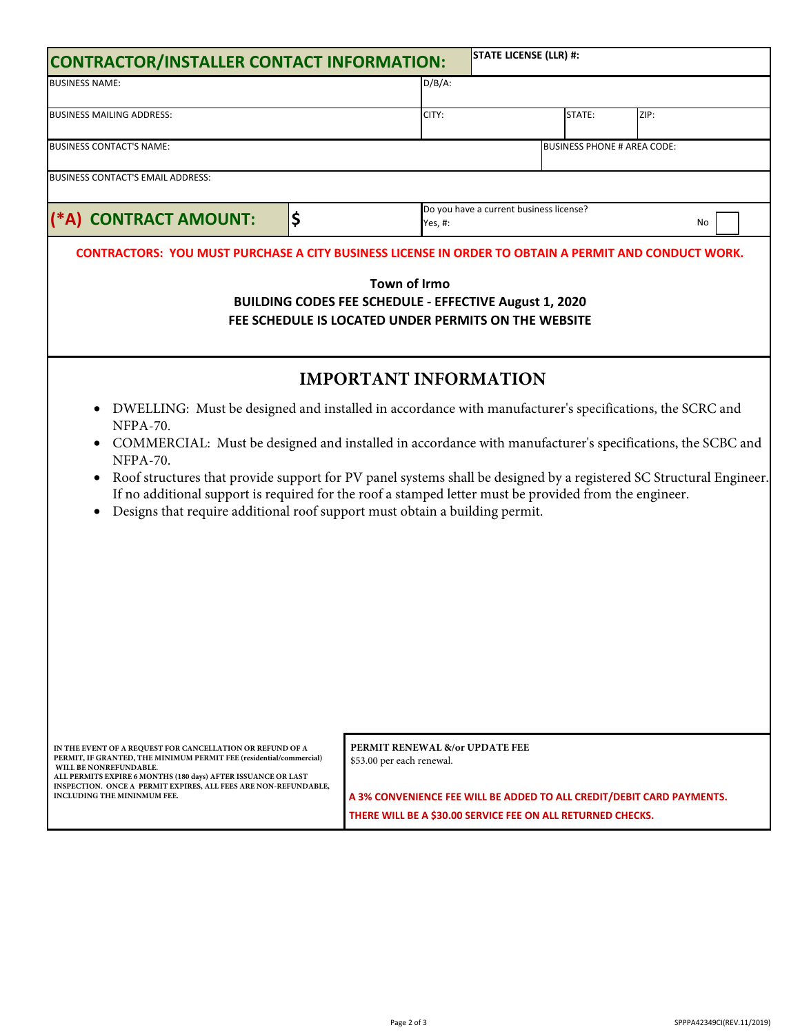| <b>STATE LICENSE (LLR) #:</b><br><b>CONTRACTOR/INSTALLER CONTACT INFORMATION:</b>                                                                                                                                                                                                                                                                                                                                                                                                                                                                                                      |         |                                                                                                                            |                                    |      |                                                                       |  |  |
|----------------------------------------------------------------------------------------------------------------------------------------------------------------------------------------------------------------------------------------------------------------------------------------------------------------------------------------------------------------------------------------------------------------------------------------------------------------------------------------------------------------------------------------------------------------------------------------|---------|----------------------------------------------------------------------------------------------------------------------------|------------------------------------|------|-----------------------------------------------------------------------|--|--|
| <b>BUSINESS NAME:</b>                                                                                                                                                                                                                                                                                                                                                                                                                                                                                                                                                                  |         |                                                                                                                            |                                    |      |                                                                       |  |  |
| <b>BUSINESS MAILING ADDRESS:</b>                                                                                                                                                                                                                                                                                                                                                                                                                                                                                                                                                       | CITY:   |                                                                                                                            |                                    | ZIP: |                                                                       |  |  |
| BUSINESS CONTACT'S NAME:                                                                                                                                                                                                                                                                                                                                                                                                                                                                                                                                                               |         |                                                                                                                            | <b>BUSINESS PHONE # AREA CODE:</b> |      |                                                                       |  |  |
| BUSINESS CONTACT'S EMAIL ADDRESS:                                                                                                                                                                                                                                                                                                                                                                                                                                                                                                                                                      |         |                                                                                                                            |                                    |      |                                                                       |  |  |
| (*A) CONTRACT AMOUNT:                                                                                                                                                                                                                                                                                                                                                                                                                                                                                                                                                                  | Yes, #: | Do you have a current business license?<br>No                                                                              |                                    |      |                                                                       |  |  |
| <b>Town of Williamston</b><br><b>BUILDING CODES FEE SCHEDULE - EFFECTIVE February 15, 2021</b><br>FEE SCHEDULE IS LOCATED UNDER PERMITS ON THE WEBSITE                                                                                                                                                                                                                                                                                                                                                                                                                                 |         |                                                                                                                            |                                    |      |                                                                       |  |  |
|                                                                                                                                                                                                                                                                                                                                                                                                                                                                                                                                                                                        |         | <b>IMPORTANT INFORMATION</b>                                                                                               |                                    |      |                                                                       |  |  |
| DWELLING: Must be designed and installed in accordance with manufacturer's specifications, the SCRC and<br>$\bullet$<br>NFPA-70.<br>COMMERCIAL: Must be designed and installed in accordance with manufacturer's specifications, the SCBC and<br>NFPA-70.<br>Roof structures that provide support for PV panel systems shall be designed by a registered SC Structural Engineer.<br>$\bullet$<br>If no additional support is required for the roof a stamped letter must be provided from the engineer.<br>Designs that require additional roof support must obtain a building permit. |         |                                                                                                                            |                                    |      |                                                                       |  |  |
| IN THE EVENT OF A REQUEST FOR CANCELLATION OR REFUND OF A<br>PERMIT, IF GRANTED, THE MINIMUM PERMIT FEE (residential/commercial)<br>WILL BE NONREFUNDABLE.<br>ALL PERMITS EXPIRE 6 MONTHS (180 days) AFTER ISSUANCE OR LAST<br>INSPECTION. ONCE A PERMIT EXPIRES, ALL FEES ARE NON-REFUNDABLE,<br>INCLUDING THE MININMUM FEE.                                                                                                                                                                                                                                                          |         | PERMIT RENEWAL &/or UPDATE FEE<br>\$53.00 per each renewal.<br>THERE WILL BE A \$30.00 SERVICE FEE ON ALL RETURNED CHECKS. |                                    |      | A 3% CONVENIENCE FEE WILL BE ADDED TO ALL CREDIT/DEBIT CARD PAYMENTS. |  |  |